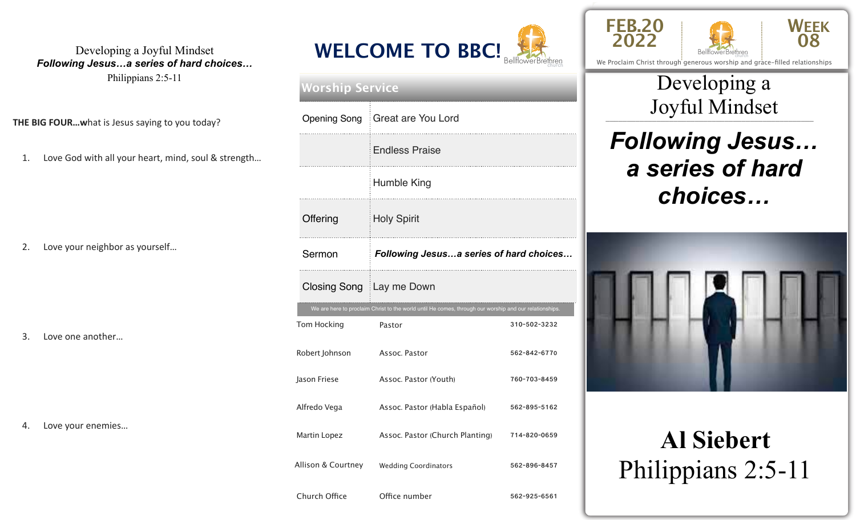#### Developing a Joyful Mindset *Following Jesus…a series of hard choices…*

Philippians 2:5-11

**THE BIG FOUR...what is Jesus saying to you today?** 

1. Love God with all your heart, mind, soul & strength...

2. Love your neighbor as yourself...

3. Love one another...

4. Love your enemies...



| <b>Worship Service</b> |                                                                                                        |              |  |  |  |
|------------------------|--------------------------------------------------------------------------------------------------------|--------------|--|--|--|
|                        | Opening Song   Great are You Lord                                                                      |              |  |  |  |
|                        | <b>Endless Praise</b>                                                                                  |              |  |  |  |
|                        | Humble King                                                                                            |              |  |  |  |
| Offering               | <b>Holy Spirit</b>                                                                                     |              |  |  |  |
| Sermon                 | Following Jesusa series of hard choices                                                                |              |  |  |  |
|                        | Closing Song Lay me Down                                                                               |              |  |  |  |
|                        | We are here to proclaim Christ to the world until He comes, through our worship and our relationships. |              |  |  |  |
| Tom Hocking            | Pastor                                                                                                 | 310-502-3232 |  |  |  |
| Robert Johnson         | Assoc. Pastor                                                                                          | 562-842-6770 |  |  |  |
| Jason Friese           | Assoc. Pastor (Youth)                                                                                  | 760-703-8459 |  |  |  |
| Alfredo Vega           | Assoc. Pastor (Habla Español)                                                                          | 562-895-5162 |  |  |  |
| Martin Lopez           | Assoc. Pastor (Church Planting)                                                                        | 714-820-0659 |  |  |  |
| Allison & Courtney     | <b>Wedding Coordinators</b>                                                                            | 562-896-8457 |  |  |  |
| Church Office          | Office number                                                                                          | 562-925-6561 |  |  |  |





We Proclaim Christ through generous worship and grace-filled relationships

## \_\_\_\_\_\_\_\_\_\_\_\_\_\_\_\_\_\_\_\_\_\_\_\_\_\_\_\_\_\_\_\_\_\_\_\_\_\_\_\_\_\_\_\_\_\_\_\_\_ Joyful Mindset Developing a

# *Following Jesus… a series of hard choices…*



# **Al Siebert**  Philippians 2:5-11